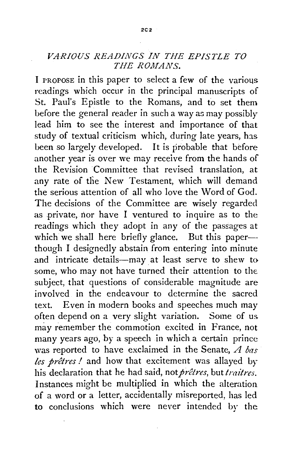## *VARIOUS READINGS IN THE EPISTLE TO THE ROMANS.*

I PROPOSE in this paper to select a few of the various readings which occur in the principal manuscripts of St. Paul's Epistle to the Romans, and to set them before the general reader in such a way as may possibly lead him to see the interest and importance of that study of textual criticism which, during late years, has been so largely developed. It is probable that before another year is over we may receive from the hands of the Revision Committee that revised translation, at any rate of the New Testament, which will demand the serious attention of all who love the Word of God. The decisions of the Committee are wisely regarded as private, nor have I ventured to inquire as to the readings which they adopt in any of the passages at which we shall here briefly glance. But this paperthough I designedly abstain from entering into minute and intricate details-may at least serve to shew to some, who may not have turned their attention to the. subject, that questions of considerable magnitude are involved in the endeavour to determine the sacred text. Even in modern books and speeches much may often depend on a very slight variation. Some of us may remember the commotion excited in France, not many years ago, by a speech in which a certain prince was reported to have exclaimed in the Senate, *A bas les pretres I* and how that excitement was allayed *by*  his declaration that he had said, not prêtres, but traitres. Instances might be multiplied in which the alteration of a word or a letter, accidentally misreported, has led to conclusions which were never intended by the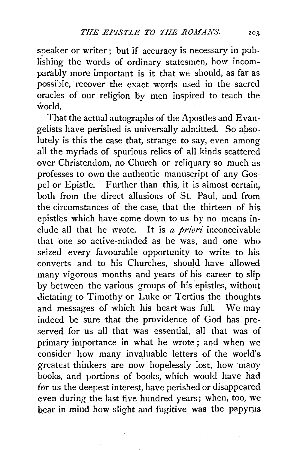speaker or writer; but if accuracy is necessary in publishing the words of ordinary statesmen, how incomparably more important is it that we should, as far as possible, recover the exact words used in the sacred oracles of our religion by men inspired to teach the world.

That the actual autographs of the Apostles and Evangelists have perished is universally admitted. So absolutely is this the case that, strange to say, even among all the myriads of spurious relics of all kinds scattered over Christendom, no Church or reliquary so much as professes to own the authentic manuscript of any Gospel or Epistle. Further than this, it is almost certain, both from the direct allusions of St. Paul, and from the circumstances of the case, that the thirteen of his epistles which have come down to us by no means include all that he wrote. It is *a priori* inconceivable that one so active-minded as he was, and one who seized every favourable opportunity to write to his converts and to his Churches, should have allowed many vigorous months and years of his career to slip by between the various groups of his epistles, without dictating to Timothy or Luke or Tertius the thoughts and messages of which his heart was full. We may indeed be sure that the providence of God has preserved for us all that was essential, all that was of primary importance in what he wrote ; and when we consider how many invaluable letters of the world's greatest thinkers are now hopelessly lost, how many books, and portions of books, which would have had for us the deepest interest, have perished or disappeared even during the last five hundred years; when, too, we bear in mind how slight and fugitive was the papyrus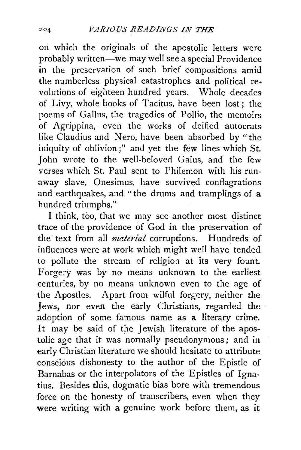on which the originals of the apostolic letters were probably written-we may well see a special Providence in the preservation of such brief compositions amid the numberless physical catastrophes and political re· volutions of eighteen hundred years. Whole decades of Livy, whole books of Tacitus, have been lost; the poems of Gallus, the tragedies of Pollio, the memoirs of Agrippina, even the works of deified autocrats like Claudius and Nero, have been absorbed by "the iniquity of oblivion;" and yet the few lines which St. John wrote to the well-beloved Gaius, and the few verses which St. Paul sent to Philemon with his runaway slave, Onesimus, have survived conflagrations and earthquakes, and "the drums and tramplings of a hundred triumphs."

I think, too, that we may see another most distinct trace of the providence of God in the preservation of the text from all *material* corruptions. Hundreds of influences were at work which might well have tended to pollute the stream of religion at its very fount. Forgery was by no means unknown to the earliest centuries, by no means unknown even to the age of the Apostles. Apart from wilful forgery, neither the Jews, nor even the early Christians, regarded the adoption of some famous name as a literary crime. It may be said of the Jewish literature of the apostolic age that it was normally pseudonymous; and in early Christian literature we should hesitate to attribute conscious dishonesty to the author of the Epistle of Barnabas or the interpolators of the Epistles of Ignatius. Besides this, dogmatic bias bore with tremendous force on the honesty of transcribers, even when they were writing with a genuine work before them, as it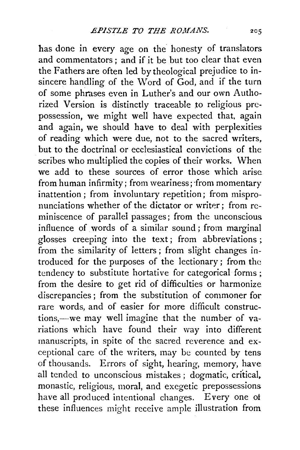has done in every age on the honesty of translators and commentators ; and if it be but too clear that even the Fathers are often led by theological prejudice to insincere handling of the Word of God, and if the turn of some phrases even in Luther's and our own Authorized Version is distinctly traceable to religious prepossession, we might well have expected that, again and again, we should have to deal with perplexities of reading which were due, not to the sacred writers. but to the doctrinal or ecclesiastical convictions of the scribes who multiplied the copies of their works. When we add to these sources of error those which arise from human infirmity; from weariness; from momentary inattention; from involuntary repetition; from mispronunciations whether of the dictator or writer; from reminiscence of parallel passages; from the unconscious influence of words of a similar sound ; from marginal glosses creeping into the text; from abbreviations; from the similarity of letters ; from slight changes introduced for the purposes of the lectionary; from the tendency to substitute hortative for categorical forms; from the desire to get rid of difficulties or harmonize discrepancies; from the substitution of commoner for rare words, and of easier for more difficult constructions,---we may well imagine that the number of variations which have found their way into different manuscripts, in spite of the sacred reverence and exceptional care of the writers, may be counted by tens of thousands. Errors of sight, hearing, memory, have all tended to unconscious mistakes ; dogmatic, critical. monastic, religious, moral, and exegetic prepossessions have all produced intentional changes. Every one of these influences might receive ample illustration from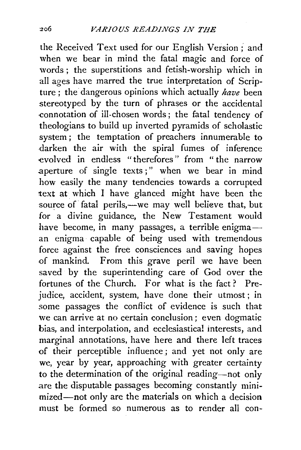the Received Text used for our English Version; and when we bear in mind the fatal magic and force of words ; the superstitions and fetish-worship which in all ages have marred the true interpretation of Scripture; the dangerous opinions which actually *have* been stereotyped by the turn of phrases or the accidental .connotation of ill-chosen words; the fatal tendency of theologians to build up inverted pyramids of scholastic system; the temptation of preachers innumerable to darken the air with the spiral fumes of inference evolved in endless "therefores" from "the narrow .aperture of single texts;" when we bear in mind how easily the many tendencies towards a corrupted text at which I have glanced might have been the source of fatal perils,-we may well believe that, but for a divine guidance, the New Testament would have become, in many passages, a terrible enigmaan enigma capable of being used with tremendous force against the free consciences and saving hopes of mankind. From this grave peril we have been saved by the superintending care of God over the fortunes of the Church. For what is the fact? Prejudice, accident, system, have done their utmost; in some passages the conflict of evidence is such that we can arrive at no certain conclusion; even dogmatic bias, and interpolation, and ecclesiastical interests, and marginal annotations, have here and there left traces of their perceptible influence; and yet not only are we, year by year, approaching with greater certainty to the determination of the original reading-not only are the disputable passages becoming constantly minimized-not only are the materials on which a decision must be formed so numerous as to render all con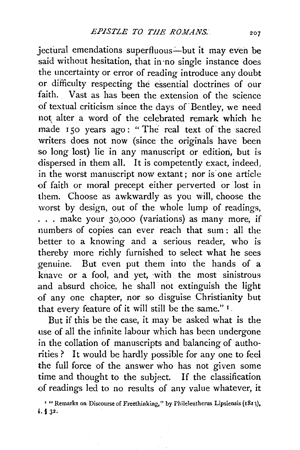jectural emendations superfluous-but it may even be said without hesitation, that in no single instance does the uncertainty or error of reading introduce any doubt or difficulty respecting the essential doctrines of our faith. Vast as has been the extension of the science of textual criticism since the days of· Bentley, we need not, alter a word of the celebrated remark which he made 150 years ago: "The real text of the sacred writers does not now (since the originals have been so long lost) lie in any manuscript or edition, but is dispersed in them all. It is competently exact, indeed, in the worst manuscript now extant; nor is one article of faith or moral precept either perverted or lost in them. Choose as awkwardly as you will, choose the worst by design, out of the whole lump of readings, ... make your 30,000 (variations) as many more, if numbers of copies can ever reach that sum : all the better to a knowing and a serious reader, who is thereby more richly furnished to select what he sees genuine. But even put them into the hands of a knave or a fool, and yet, with the most sinistrous and absurd choice, he shall not extinguish the light of any one chapter, nor so disguise Christianity but that every feature of it will still be the same." <sup>1</sup> .

But if this be the case, it may be asked what is the use of all the infinite labour which has been undergone in the collation of manuscripts and balancing of authorities? It would be hardly possible for any one to feel the full force of the answer who has not given some time and thought to the subject. If the classification of readings led to no results of any value whatever, it

<sup>1</sup> "Remarks on Discourse of Freethinking," by Phileleutherus Lipsiensis (1813), i. § J2.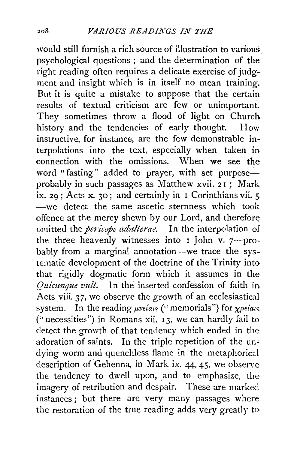would still furnish a rich source of illustration to various psychological questions ; and the determination of the right reading often requires a delicate exercise of judgment and insight which is in itself no mean training. But it is quite a mistake to suppose that the certain results of textual criticism are few or unimportant. They sometimes throw a flood of light on Church history and the tendencies of early thought. How instructive, for instance, are the few demonstrable interpolations into the text, especially when taken in connection with the omissions. When we see the word "fasting" added to prayer, with set purpose-probably in such passages as Matthew xvii. 2 r ; Mark  $ix. 29$ : Acts x. 30; and certainly in I Corinthians vii. 5 -we detect the same ascetic sternness which took offence at the 'mercy shewn by our Lord, and therefore omitted the *pericope adulterae.* In the interpolation of the three heavenly witnesses into  $\overline{1}$  John v. 7-probably from a marginal annotation-we trace the systematic development of the doctrine of the Trinity into that rigidly dogmatic form which it assumes in the *Quicunque vult.* In the' inserted confession of faith in Acts viii. 37, we observe the growth of an ecclesiastical system. In the reading *pvelates* ("memorials") for *xpelates* ("necessities") in Romans xii. 13, we can hardly fail to detect the growth of that tendency which ended in the adoration of saints. In the triple repetition of the undying worm and quenchless flame in the metaphorical description of Gehenna, in Mark ix. 44, 45, we observe the tendency to dwell upon, and to emphasize, the imagery of retribution and despair. These are marked instances ; but there are very many passages where the restoration of the true reading adds very greatly to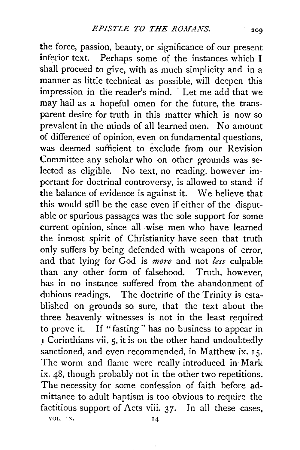the force, passion, beauty, or significance of our present inferior text. Perhaps some of the instances which I shall proceed to give, with as much simplicity and in a manner as little technical as possible, will deepen this impression in the reader's mind. Let me add that we may hail as a hopeful omen for the future, the transparent desire for truth in this matter which is now so prevalent in the minds of all learned men. No amount of difference of opinion, even on fundamental questions, was deemed sufficient to exclude from our Revision Committee any scholar who on other grounds was selected as eligible. No text, no reading, however important for doctrinal controversy, is allowed to stand if the balance of evidence is against it. We believe that this would still be the case even if either of the disputable or spurious passages was the sole support for some current opinion, since all wise men who have learned the inmost spirit of Christianity have seen that truth only suffers by being defended with weapons of error, and that lying for God is *more* and not *less* culpable than any other form of falsehood. Truth, however, has in no instance suffered from the abandonment of dubious readings. The doctrine of the Trinity is established on grounds so sure, that the text about the three heavenly witnesses is not in the least required to prove it. If "fasting" has no business to appear in I Corinthians vii. 5, it is on the other hand undoubtedly sanctioned, and even recommended, in Matthew ix. 15. The worm and flame were really introduced in Mark ix. 48, though probably not in the other two repetitions. The necessity for some confession of faith before admittance to adult baptism is too obvious to require the factitious support of Acts viii. 37. In all these cases. VOL. IX.  $14$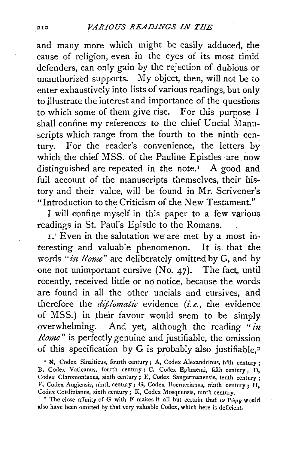and many more which might be easily adduced, the cause of religion, even in the eyes of its most timid defenders, can only gain by the rejection of dubious or unauthorized supports. My object, then, will not be to enter exhaustively into lists of various readings, but only to illustrate the interest and importance of the questions to which some of them give rise. For this purpose I shall confine my references to the chief Uncial Manuscripts which range from the fourth to the ninth century. For the reader's convenience, the letters by which the chief MSS. of the Pauline Epistles are. now distinguished are repeated in the note.<sup>1</sup> A good and full account of the manuscripts themselves, their history and their value, will be found in Mr. Scrivener's "Introduction to the Criticism of the New Testament."

I will confine myself in this paper to a few various readings in St. Paul's Epistle to the Romans.

I.'' Even in the salutation we are met by a most interesting and valuable phenomenon. It is that the words *"in Rome"* are deliberately omitted by G, and by one not unimportant cursive (No. 47). The fact, until recently, received little or no notice, because the words are found in all the other uncials and cursives, and therefore the *diplomatic* evidence *(i.e.,* the evidence of MSS.) in their favour would seem to be simply overwhelming. And yet, although the reading *"in Rome"* is perfectly genuine and justifiable, the omission of this specification by  $G$  is probably also justifiable.<sup>2</sup>

<sup>1</sup> N, Codex Sinaiticus, fourth century; A, Codex Alexandrinus, fifth century : B, Codex Vaticanus, fourth century ; C, Codex Ephraemi, fifth century; D, Codex Claromontanus, sixth century ; E, Codex Sangermanensis, tenth century ; F, Codex Augiensis, ninth century; G, Codex Boernerianus, ninth century;  $H$ . Codex Coislinianus, sixth century ; K, Codex Mosquensis, ninth century.

<sup>2</sup> The close affinity of G with F makes it all but certain that  $i\nu P\omega\mu p$  would also have been omitted by that very valuable Codex, which here is deficient.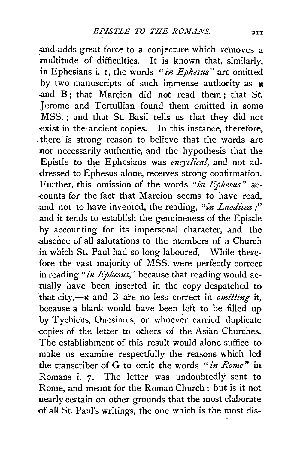and adds great force to a conjecture which removes a multitude of difficulties. It is known that, similarly, in Ephesians i. 1, the words *"in Ephesus"* are omitted by two manuscripts of such immense authority as  $\boldsymbol{\kappa}$ and  $B$ : that Marcion did not read them : that St. Jerome and Tertullian found them omitted in some MSS. ; and that St. Basil tells us that they did not exist in the ancient copies. In this instance, therefore, . there is strong reason to believe that the words are not necessarily authentic, and the hypothesis that the Epistle to the Ephesians was *encyclical*, and not addressed to Ephesus alone, receives strong confirmation. Further, this omission of the words *"in Ephesus"* ac- -counts for the fact: that Marcion seems to have read, and not to have invented, the reading, "in Laodicea ;" .and it tends to establish the genuineness of the Epistle by accounting for its impersonal character, and the absence of all salutations to the members of a Church in which St. Paul had so long laboured. While therefore the vast majority of MSS. were perfectly correct in reading "*in Ephesus*," because that reading would actually have been inserted in the copy despatched to that city,--**x** and B are no less correct in *omitting* it, because a blank would have been left to be filled up by Tychicus, Onesimus, or whoever carried duplicate copies of the letter to others of the Asian Churches. The establishment of this result would alone suffice to make us examine respectfully the reasons which led the transcriber of G to omit the words " *in Rome"* in Romans i. 7. The letter was undoubtedly sent to Rome, and meant for the Roman Church ; but is it not nearly certain on other grounds that the most elaborate <>fall St. Paul's writings, the one which is the most dis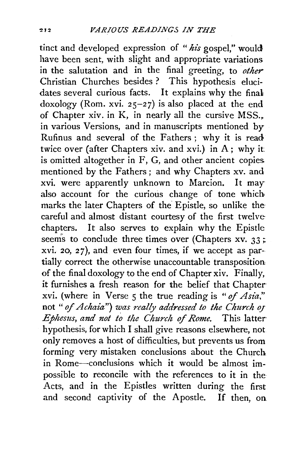tinct and developed expression of *"his* gospel," would have been sent, with slight and appropriate variations in the salutation and in the final greeting, to *other* Christian Churches besides ? This hypothesis elucidates several curious facts. It explains why the final doxology (Rom. xvi. 25-27) is also placed at the end of Chapter xiv. in K, in nearly all the cursive MSS., in various Versions, and in manuscripts mentioned by Rufinus and several of the Fathers; why it is read twice over (after Chapters xiv. and xvi.) in A; why it is omitted altogether in F, G, and other ancient copies mentioned by the Fathers; and why Chapters xv. and xvi. were apparently unknown to Marcion. It may also account for the curious change of tone which marks the later Chapters of the Epistle, so unlike the careful and almost distant courtesy of the first twelve chapters. It also serves to explain why the Epistle seems to conclude three times over (Chapters xv. 33; xvi. *20, 2 7* ), and even four times, if we accept as partially correct the otherwise unaccountable transposition of the final doxology to the end of Chapter xiv. Finally, it furnishes a fresh reason for the belief that Chapter xvi. (where in Verse 5 the true reading is " $of Asia$ " not *"of Achaia") was really addressed to the Church OJ Ephesus, and not to the Church of Rome.* This latter hypothesis, for which I shall give reasons elsewhere, not only removes a host of difficulties, but prevents us from forming very mistaken conclusions about the Church in Rome-conclusions which it would be almost impossible to reconcile with the references to it in the Acts, and in the Epistles written during the first and second captivity of the Apostle. If then, oa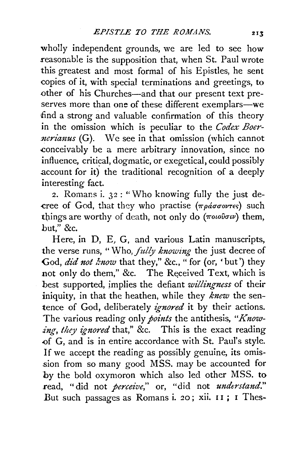wholly independent grounds, we are led to see how reasonable is the supposition that, when St. Paul wrote this greatest and most formal of his Epistles, he sent copies of it, with special terminations and greetings, to other of his Churches-and that our present text preserves more than one of these different exemplars-we dind a strong and valuable confirmation of this theory in the omission which is peculiar to the *Codex Boer nerianus* (G). We see in that omission (which cannot .conceivably be a mere arbitrary innovation, since no influence, critical, dogmatic, or exegetical, could possibly account for it) the traditional recognition of a deeply interesting fact.

:2. Romans i. 32 : "Who knowing fully the just de  $r = c$  of God, that they who practise  $(\pi \rho d \sigma \sigma \sigma \nu \tau \epsilon)$  such things are worthy of death, not only do  $(\pi o \omega o \omega w)$  them, hut," &c.

Here, in D, E, G, and various Latin manuscripts, the verse runs, "Who, *fully knowing* the just decree of God, *did not know* that they," &c., " for (or, 'but') they not only do them," &c. The Received Text, which is best supported, implies the defiant *willingness* of their iniquity, in that the heathen, while they *knew* the sentence of God, deliberately *ignored* it by their actions. The various reading only *points* the antithesis, *"Know*ing, they ignored that," &c. This is the exact reading .of G, and is in entire accordance with St. Paul's style. If we accept the reading as possibly genuine, its omission from so many good MSS. may be accounted for by the bold oxymoron which also led other MSS. to read, "did not *perceive,"* or, "did not *understand."*  But such passages as Romans i. 20; xii. 11; I Thes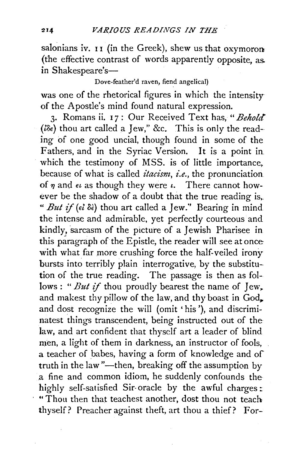salonians iv.  $II$  (in the Greek), shew us that oxymoron (the effective contrast of words apparently opposite, as. in Shakespeare's-

Dove-feather'd raven, fiend angelica!)

was one of the rhetorical figures in which the intensity of the Apostle's mind found natural expression.

3· Romans ii. I 7: Our Received Text has, *"Behold"*   $(i\delta\epsilon)$  thou art called a Jew," &c. This is only the reading of one good uncial, though found in some of the Fathers, and in the Syriac Version. It is a point in which the testimony of MSS. is of little importance, because of what is called *itacism, i.e.,* the pronunciation of  $\eta$  and  $\epsilon \iota$  as though they were  $\iota$ . There cannot however be the shadow of a doubt that the true reading is,. *" But if*  $(\epsilon \delta \delta)$  thou art called a Jew." Bearing in mind the intense and admirable, yet perfectly courteous and kindly, sarcasm of the picture of a Jewish Pharisee in this paragraph of the Epistle, the reader will see at once with what far more crushing force the half-veiled irony bursts into terribly plain interrogative, by the substitution of the true reading. The passage is then as follows: "*But if* thou proudly bearest the name of Jew, and makest thy pillow of the law, and thy boast in God, and dost recognize the will (omit 'his '), and discriminatest things transcendent, being instructed out of the law, and art confident that thyself art a leader of blind men, a light of them in darkness, an instructor of fools, a teacher of babes, having a form of knowledge and of truth in the law "---then, breaking off the assumption by a fine and common idiom, he suddenly confounds the highly self-satisfied Sir-oracle by the awful charges: " Thou then that teachest another, dost thou not teach thyself? Preacher against theft, art thou a thief? For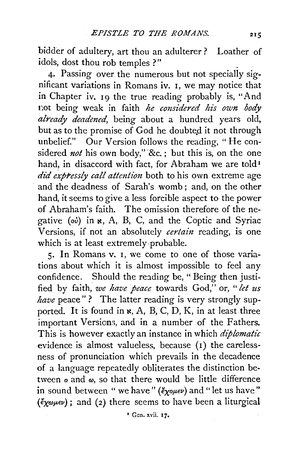bidder of adultery, art thou an adulterer ? Loather of idols, dost thou rob temples ?"

4· Passing over the numerous but not specially significant variations in Romans iv. I, we may notice that in Chapter iv. I9 the true reading probably is, "And t:ot being weak in faith *he considered his own body already deadened,* being about a hundred years old, but as to the promise of God he doubted it not through unbelief." Our Version follows the reading, "He considered *not* his own body," &c.; but this is, on the one hand, in disaccord with fact, for Abraham we are told<sup>1</sup> *did expressly call attention* both to his own extreme age and the deadness of Sarah's womb; and, on the other hand, it seems to give a less forcible aspect to the power of Abraham's faith. The omission therefore of the negative *(ov)* in x, A, B, C, and the Coptic and Syriac Versions, if not an absolutely *certain* reading, is one which is at least extremely ·probable.

5· In Romans v. I, we come to one of those variations about which it is almost impossible to feel any confidence. Should the reading be, "Being then justified by faith, *we have peace* towards God," or, *"let us*  have peace"? The latter reading is very strongly supported. It is found in  $\kappa$ , A, B, C, D, K, in at least three important Versions, and in a number of the Fathers. This is however exactly an instance in which *diplomatic*  evidence is almost valueless, because (1) the carelessness of pronunciation which prevails in the decadence of a language repeatedly obliterates the distinction between  $o$  and  $\omega$ , so that there would be little difference in sound between " we have" ( $\ell_{\gamma}$ ouev) and "let us have"  $(\xi_{\chi\omega\mu\epsilon\nu})$ ; and (2) there seems to have been a liturgical

<sup>2</sup> Gen. xvii. 17.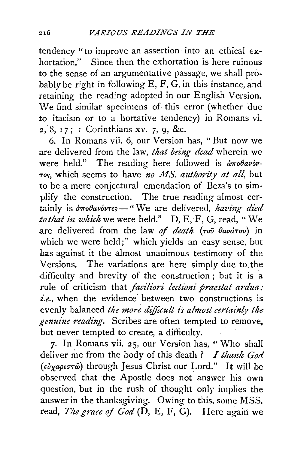tendency ''to improve an assertion into an ethical exhortation." Since then the exhortation is here ruinous to the sense of an argumentative passage, we shall probably be right in following E, F, G, in this instance, and retaining the reading adopted in our English Version. We find similar specimens of this error (whether due to itacism or to a hortative tendency) in Romans vi. 2, 8, 17; I Corinthians xv. 7, 9, &c.

6. In Romans vii. 6, our Version has, "But now we are delivered from the law, *that being dead* wherein we were held." The reading here followed is  $\partial \pi \partial \theta$ avov--ro~, which seems to have *no MS. authority at all,* but to be a mere conjectural emendation of Beza's to simplify the construction. The true reading almost certainly is  $d\pi o\theta a\nu \acute{o} \nu \tau$ es -- "We are delivered, *having died* to that in which we were held." D, E, F, G, read, "We are delivered from the law of death (Tou *Havárov*) in which we were held;" which yields an easy sense, but has against it the almost unanimous testimony of the Versions. The variations are here simply due to the difficulty and brevity of the construction ; but it is a rule of criticism that *faciliori lectioni praestat ardua*: *i.e.,* when the evidence between two constructions is evenly balanced *the more difficult is almost certainly the genuine reading.* Scribes are often tempted to remove, but never tempted to create, a difficulty.

7- In Romans vii. 25, our Version has, "Who shall deliver me from the body of this death? *I thank God (euxaptrnw)* through Jesus Christ our Lord." It will be observed that the Apostle does not answer his own question, but in the rush of thought only implies the answer in the thanksgiving. Owing to this, some MSS. read, *The grace of God* (D, E, F, G). Here again we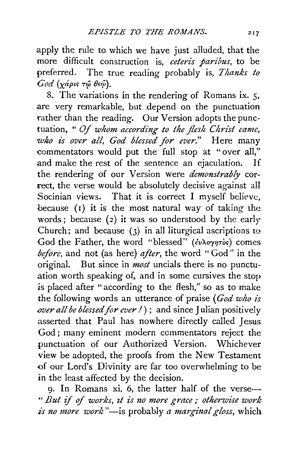apply the rule to which we have just alluded, that the more difficult construction is, *ceteris paribus,* to be preferred. The true reading probably is, *Thanks to God* (χάρις τώ θεώ).

8. The variations in the rendering of Romans ix. 5, are very remarkable, but .depend on the punctuation rather than the reading. Our Version adopts the punctuation, " *Of whom according to the flesh Christ came, who £s over all, God blessed for ever."* Here many commentators would put the full stop at "over all," and make the rest of the sentence an ejaculation. If the rendering of our Version were *demonstrably* correct, the verse would be absolutely decisive against all Socinian views. That it .is correct I myself believe, because (1) it is the most natural way of taking the words; because  $(2)$  it was so understood by the early Church; and because (3) in all liturgical ascriptions to God the Father, the word "blessed" ( $\epsilon v \lambda o \gamma \eta \tau o s$ ) comes *before,* and not (as here) *after,* the word "God" in the original. But since in *most* uncials there is no punctuation worth speaking of, and in some cursives the stop is placed after " according to the flesh," so as to make the following words an utterance of praise *(God who is over all be blessed for ever!*); and since Julian positively asserted that Paul has nowhere directly called Jesus God ; many eminent modern commentators reject the punctuation of our Authorized Version. Whichever view be adopted, the proofs from the New Testament of our Lord's Divinity are far too overwhelming to be in the least affected by the decision.

g. In Romans xi. 6, the latter half of the verse- .. , *But if* of *works, zt is no more grace,- otherwise work is no more work* "-is probably *a marginal gloss,* which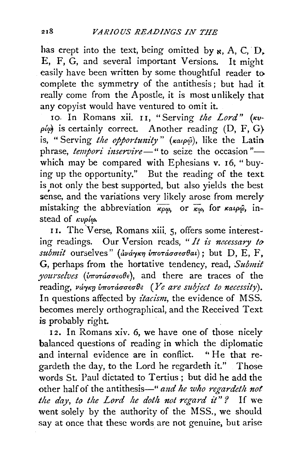has crept into the text, being omitted by  $\kappa$ , A, C, D, E, F, G, and several important Versions. It might easily have been written by some thoughtful reader to complete the symmetry of the antithesis; but had it really come from the Apostle, it is most unlikely that any copyist would have ventured to omit it.

10. In Romans xii. 11, "Serving the Lord" (Kv- $\rho(\phi)$  is certainly correct. Another reading  $(D, F, G)$ is, "Serving *the opportunity" (Kaup*@), like the Latin phrase, *tempori inservire*—" to seize the occasion" which may be compared with Ephesians v. 16, "buying up the opportunity." But the reading of the text is not only the best supported, but also yields the best s not only the best supported, but also yields the best sense, and the variations very likely arose from merely mistaking the abbreviation  $\overline{\kappa_{\rho\omega}}$  or  $\overline{\kappa_{\omega}}$ , for  $\kappa_{\alpha\varphi\varphi}$ , instead of  $k\nu\rho/\omega$ .

II. The Verse, Romans xiii. 5, offers some interesting readings. Our Version reads, " It is necessary to *submit* ourselves" (ανάγκη υποτάσσεσθαι); but D, E, F, G, perhaps from the hortative tendency, read, *Submit*  yourselves (υποτάσσεοθε), and there are traces of the reading, ν*άγκη υποτάσσεσθε (Ye are subject to necessity*). In questions affected by *itacism*, the evidence of MSS. becomes merely orthographical, and the Received Text is probably right.

12. In Romans xiv. 6, we have one of those nicely balanced questions of reading in which the diplomatic and internal evidence are in conflict. "He that regardeth the day, to the Lord he regardeth it." Those words St. Paul dictated to Tertius; but did he add the other half of the antithesis-" and he who regardeth not *the day, to the Lord he doth not regard it"?* If we went solely by the authority of the MSS., we should say at once that these words are not genuine, but arise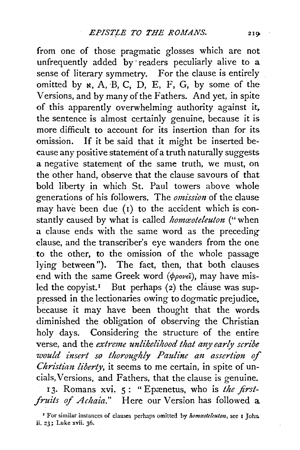from one of those pragmatic glosses which are not unfrequently added by readers peculiarly alive to a sense of literary symmetry. For the clause is entirely omitted by  $\kappa$ , A, B, C, D, E, F, G, by some of the Versions, and by many of the Fathers. And yet, in spite of this apparently overwhelming authority against it, the sentence is almost certainly genuine, because it is more difficult to account for its insertion than for its omission. If it be said that it might be inserted because any positive statement of a truth naturally suggests a negative statement of the same truth, we must, on the other hand, observe that the clause savours of that bold liberty in which St. Paul towers above whole generations of his followers. The *omission* of the clause may have been due (I) to the accident which is constantly caused by what is called *homceoteleuton* ("when a clause ends with the same word as the preceding clause, and the transcriber's eye wanders from the one to the other, to the omission of the whole passage lying between"). The fact, then, that both clauses end with the same Greek word  $(\phi_{\rho o \nu \epsilon \hat{\iota}})$ , may have misled the copyist.<sup> $I$ </sup> But perhaps (2) the clause was suppressed in the lectionaries owing to dogmatic prejudice, because it may have been thought that the words diminished the obligation of observing the Christian holy days. Considering the structure of the entire verse, and the *extreme unlikelihood that any early scribe would insert so thoroughly Pauline an assertion of Christian liberty*, it seems to me certain, in spite of uncials, Versions, and Fathers, that the clause is genuine. 13. Romans xvi. 5: "Epænetus, who is *the first-*

*fruits* of *Achaia."* Here our Version has followed a

<sup>&</sup>lt;sup>1</sup> For similar instances of clauses perhaps omitted by *homaoteleuton*, see 1 John. ii. 23; Luke xvii. 36.